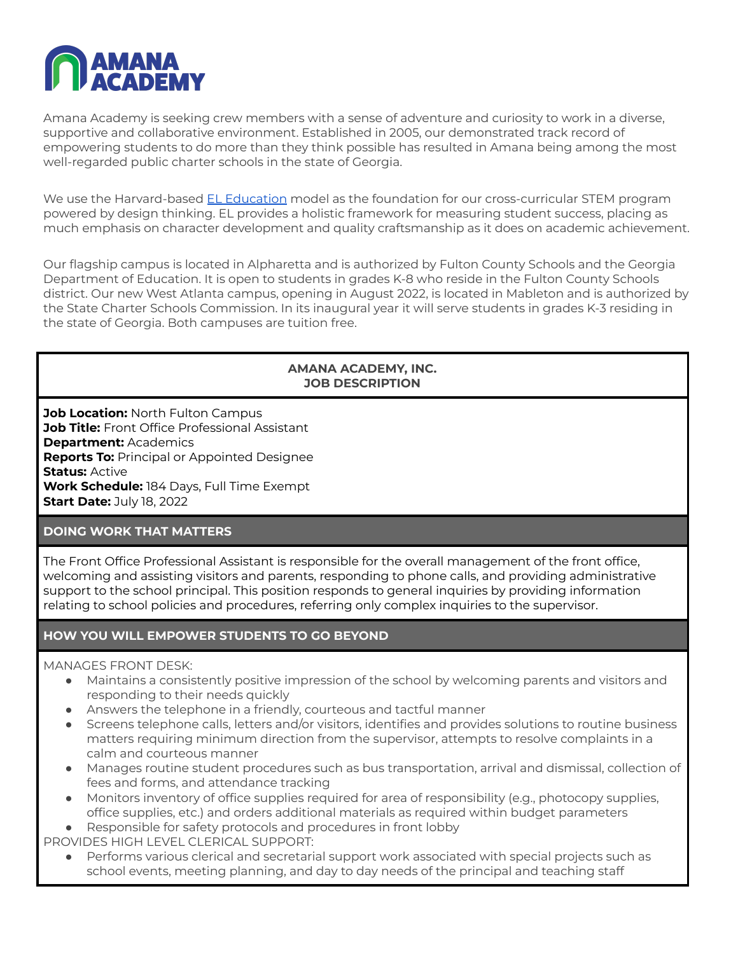

Amana Academy is seeking crew members with a sense of adventure and curiosity to work in a diverse, supportive and collaborative environment. Established in 2005, our demonstrated track record of empowering students to do more than they think possible has resulted in Amana being among the most well-regarded public charter schools in the state of Georgia.

We use the Harvard-based EL [Education](https://eleducation.org/) model as the foundation for our cross-curricular STEM program powered by design thinking. EL provides a holistic framework for measuring student success, placing as much emphasis on character development and quality craftsmanship as it does on academic achievement.

Our flagship campus is located in Alpharetta and is authorized by Fulton County Schools and the Georgia Department of Education. It is open to students in grades K-8 who reside in the Fulton County Schools district. Our new West Atlanta campus, opening in August 2022, is located in Mableton and is authorized by the State Charter Schools Commission. In its inaugural year it will serve students in grades K-3 residing in the state of Georgia. Both campuses are tuition free.

#### **AMANA ACADEMY, INC. JOB DESCRIPTION**

**Job Location:** North Fulton Campus **Job Title:** Front Office Professional Assistant **Department:** Academics **Reports To:** Principal or Appointed Designee **Status:** Active **Work Schedule:** 184 Days, Full Time Exempt **Start Date:** July 18, 2022

### **DOING WORK THAT MATTERS**

The Front Office Professional Assistant is responsible for the overall management of the front office, welcoming and assisting visitors and parents, responding to phone calls, and providing administrative support to the school principal. This position responds to general inquiries by providing information relating to school policies and procedures, referring only complex inquiries to the supervisor.

### **HOW YOU WILL EMPOWER STUDENTS TO GO BEYOND**

#### MANAGES FRONT DESK:

- Maintains a consistently positive impression of the school by welcoming parents and visitors and responding to their needs quickly
- Answers the telephone in a friendly, courteous and tactful manner
- Screens telephone calls, letters and/or visitors, identifies and provides solutions to routine business matters requiring minimum direction from the supervisor, attempts to resolve complaints in a calm and courteous manner
- Manages routine student procedures such as bus transportation, arrival and dismissal, collection of fees and forms, and attendance tracking
- Monitors inventory of office supplies required for area of responsibility (e.g., photocopy supplies, office supplies, etc.) and orders additional materials as required within budget parameters
- Responsible for safety protocols and procedures in front lobby

PROVIDES HIGH LEVEL CLERICAL SUPPORT:

Performs various clerical and secretarial support work associated with special projects such as school events, meeting planning, and day to day needs of the principal and teaching staff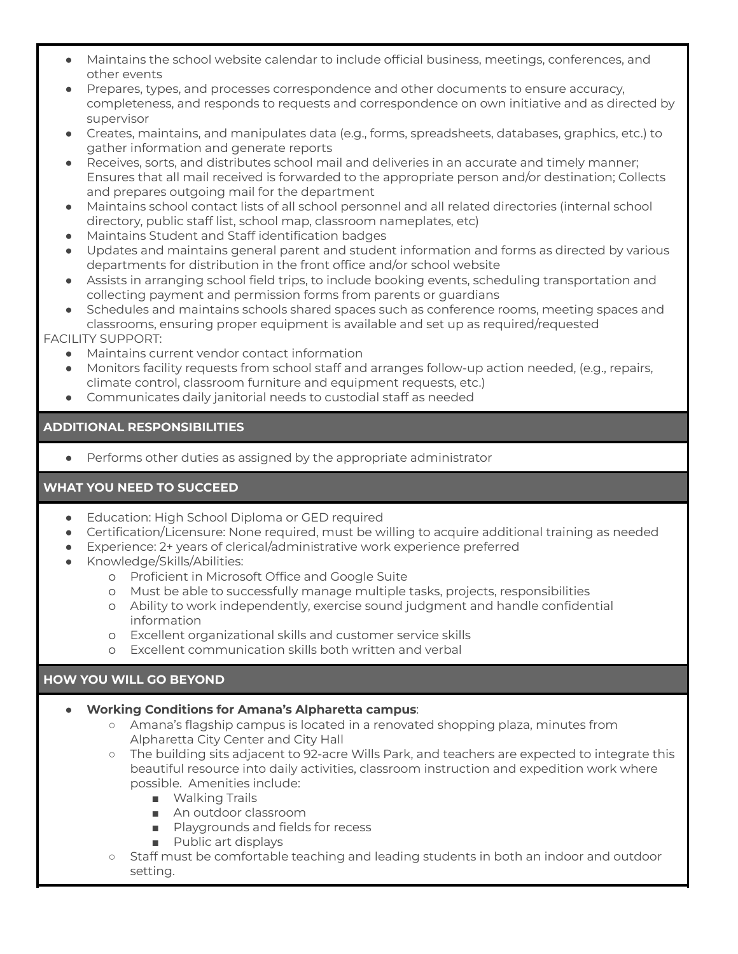- Maintains the school website calendar to include official business, meetings, conferences, and other events
- Prepares, types, and processes correspondence and other documents to ensure accuracy, completeness, and responds to requests and correspondence on own initiative and as directed by supervisor
- Creates, maintains, and manipulates data (e.g., forms, spreadsheets, databases, graphics, etc.) to gather information and generate reports
- Receives, sorts, and distributes school mail and deliveries in an accurate and timely manner; Ensures that all mail received is forwarded to the appropriate person and/or destination; Collects and prepares outgoing mail for the department
- Maintains school contact lists of all school personnel and all related directories (internal school directory, public staff list, school map, classroom nameplates, etc)
- Maintains Student and Staff identification badges
- Updates and maintains general parent and student information and forms as directed by various departments for distribution in the front office and/or school website
- Assists in arranging school field trips, to include booking events, scheduling transportation and collecting payment and permission forms from parents or guardians
- Schedules and maintains schools shared spaces such as conference rooms, meeting spaces and classrooms, ensuring proper equipment is available and set up as required/requested

FACILITY SUPPORT:

- Maintains current vendor contact information
- Monitors facility requests from school staff and arranges follow-up action needed, (e.g., repairs, climate control, classroom furniture and equipment requests, etc.)
- Communicates daily janitorial needs to custodial staff as needed

# **ADDITIONAL RESPONSIBILITIES**

Performs other duties as assigned by the appropriate administrator

# **WHAT YOU NEED TO SUCCEED**

- Education: High School Diploma or GED required
- Certification/Licensure: None required, must be willing to acquire additional training as needed
- Experience: 2+ years of clerical/administrative work experience preferred
- Knowledge/Skills/Abilities:
	- o Proficient in Microsoft Office and Google Suite
	- o Must be able to successfully manage multiple tasks, projects, responsibilities
	- o Ability to work independently, exercise sound judgment and handle confidential information
	- o Excellent organizational skills and customer service skills
	- o Excellent communication skills both written and verbal

# **HOW YOU WILL GO BEYOND**

### ● **Working Conditions for Amana's Alpharetta campus**:

- Amana's flagship campus is located in a renovated shopping plaza, minutes from Alpharetta City Center and City Hall
- The building sits adjacent to 92-acre Wills Park, and teachers are expected to integrate this beautiful resource into daily activities, classroom instruction and expedition work where possible. Amenities include:
	- Walking Trails
	- An outdoor classroom
	- Playgrounds and fields for recess
	- Public art displays
- Staff must be comfortable teaching and leading students in both an indoor and outdoor setting.